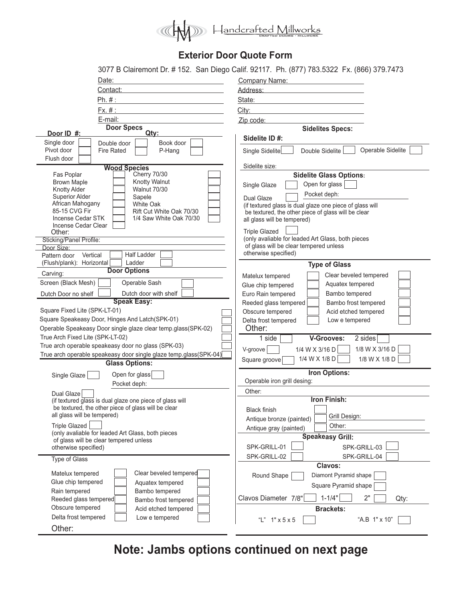

## **Exterior Door Quote Form**

|                                                                                             | 3077 B Clairemont Dr. # 152. San Diego Calif. 92117. Ph. (877) 783.5322 Fx. (866) 379.7473 |
|---------------------------------------------------------------------------------------------|--------------------------------------------------------------------------------------------|
| Date:                                                                                       | <b>Company Name:</b>                                                                       |
| Contact:                                                                                    | Address:                                                                                   |
| Ph. #:                                                                                      | State:                                                                                     |
| Fx. #:                                                                                      | City:                                                                                      |
| E-mail:                                                                                     | Zip code:                                                                                  |
| <b>Door Specs</b>                                                                           | <b>Sidelites Specs:</b>                                                                    |
| Door ID #:<br>Qty:                                                                          | Sidelite ID#:                                                                              |
| Single door<br>Book door<br>Double door                                                     |                                                                                            |
| Pivot door<br>P-Hang<br><b>Fire Rated</b><br>Flush door                                     | Operable Sidelite<br>Double Sidelite<br>Single Sidelite                                    |
| <b>Wood Species</b>                                                                         | Sidelite size:                                                                             |
| <b>Cherry 70/30</b><br>Fas Poplar                                                           | <b>Sidelite Glass Options:</b>                                                             |
| Knotty Walnut<br><b>Brown Maple</b>                                                         | Open for glass<br>Single Glaze                                                             |
| <b>Walnut 70/30</b><br>Knotty Alder<br><b>Superior Alder</b>                                | Pocket deph:                                                                               |
| Sapele<br>African Mahogany<br>White Oak                                                     | Dual Glaze<br>(if textured glass is dual glaze one piece of glass will                     |
| 85-15 CVG Fir<br>Rift Cut White Oak 70/30                                                   | be textured, the other piece of glass will be clear                                        |
| Incense Cedar STK<br>1/4 Saw White Oak 70/30                                                | all glass will be tempered)                                                                |
| Incense Cedar Clear<br>Other:                                                               | <b>Triple Glazed</b>                                                                       |
| Sticking/Panel Profile:                                                                     | (only avaliable for leaded Art Glass, both pieces                                          |
| Door Size:                                                                                  | of glass will be clear tempered unless                                                     |
| <b>Half Ladder</b><br>Vertical<br>Pattern door                                              | otherwise specified)                                                                       |
| Ladder<br>(Flush/plank): Horizontal<br><b>Door Options</b>                                  | <b>Type of Glass</b>                                                                       |
| Carving:                                                                                    | Clear beveled tempered<br>Matelux tempered                                                 |
| Screen (Black Mesh)<br>Operable Sash                                                        | Aquatex tempered<br>Glue chip tempered                                                     |
| Dutch door with shelf<br>Dutch Door no shelf                                                | Euro Rain tempered<br>Bambo tempered                                                       |
| <b>Speak Easy:</b>                                                                          | Bambo frost tempered<br>Reeded glass tempered                                              |
| Square Fixed Lite (SPK-LT-01)<br>Square Speakeasy Door, Hinges And Latch(SPK-01)            | Obscure tempered<br>Acid etched tempered                                                   |
| Operable Speakeasy Door single glaze clear temp.glass(SPK-02)                               | Delta frost tempered<br>Low e tempered<br>Other:                                           |
| True Arch Fixed Lite (SPK-LT-02)                                                            | 1 side<br><b>V-Grooves:</b><br>2 sides                                                     |
| True arch operable speakeasy door no glass (SPK-03)                                         |                                                                                            |
| True arch operable speakeasy door single glaze temp.glass(SPK-04)                           | 1/8 W X 3/16 D<br>V-groove<br>1/4 W X 3/16 D                                               |
| <b>Glass Options:</b>                                                                       | 1/4 W X 1/8 D<br>1/8 W X 1/8 D<br>Square groove                                            |
| Open for glass<br>Single Glaze                                                              | Iron Options:                                                                              |
|                                                                                             |                                                                                            |
|                                                                                             | Operable iron grill desing:                                                                |
| Pocket deph:                                                                                | Other:                                                                                     |
| Dual Glaze<br>(if textured glass is dual glaze one piece of glass will                      | Iron Finish:                                                                               |
| be textured, the other piece of glass will be clear                                         | <b>Black finish</b>                                                                        |
| all glass will be tempered)                                                                 | Grill Design:<br>Antique bronze (painted)                                                  |
| <b>Triple Glazed</b>                                                                        | Other:<br>Antique gray (painted)                                                           |
| (only avaliable for leaded Art Glass, both pieces<br>of glass will be clear tempered unless | <b>Speakeasy Grill:</b>                                                                    |
| otherwise specified)                                                                        | SPK-GRILL-01<br>SPK-GRILL-03                                                               |
| Type of Glass                                                                               | SPK-GRILL-04<br>SPK-GRILL-02                                                               |
|                                                                                             | Clavos:                                                                                    |
| Clear beveled tempered<br>Matelux tempered                                                  | Diamont Pyramid shape<br>Round Shape                                                       |
| Glue chip tempered<br>Aquatex tempered                                                      | Square Pyramid shape                                                                       |
| Rain tempered<br>Bambo tempered                                                             | $1 - 1/4"$<br>2"                                                                           |
| Reeded glass tempered<br>Bambo frost tempered                                               | Clavos Diameter 7/8"<br>Qty:                                                               |
| Obscure tempered<br>Acid etched tempered                                                    | <b>Brackets:</b>                                                                           |
| Delta frost tempered<br>Low e tempered<br>Other:                                            | "A.B 1" x 10"<br>"L" $1$ " $\times$ 5 $\times$ 5                                           |

**Note: Jambs options continued on next page**